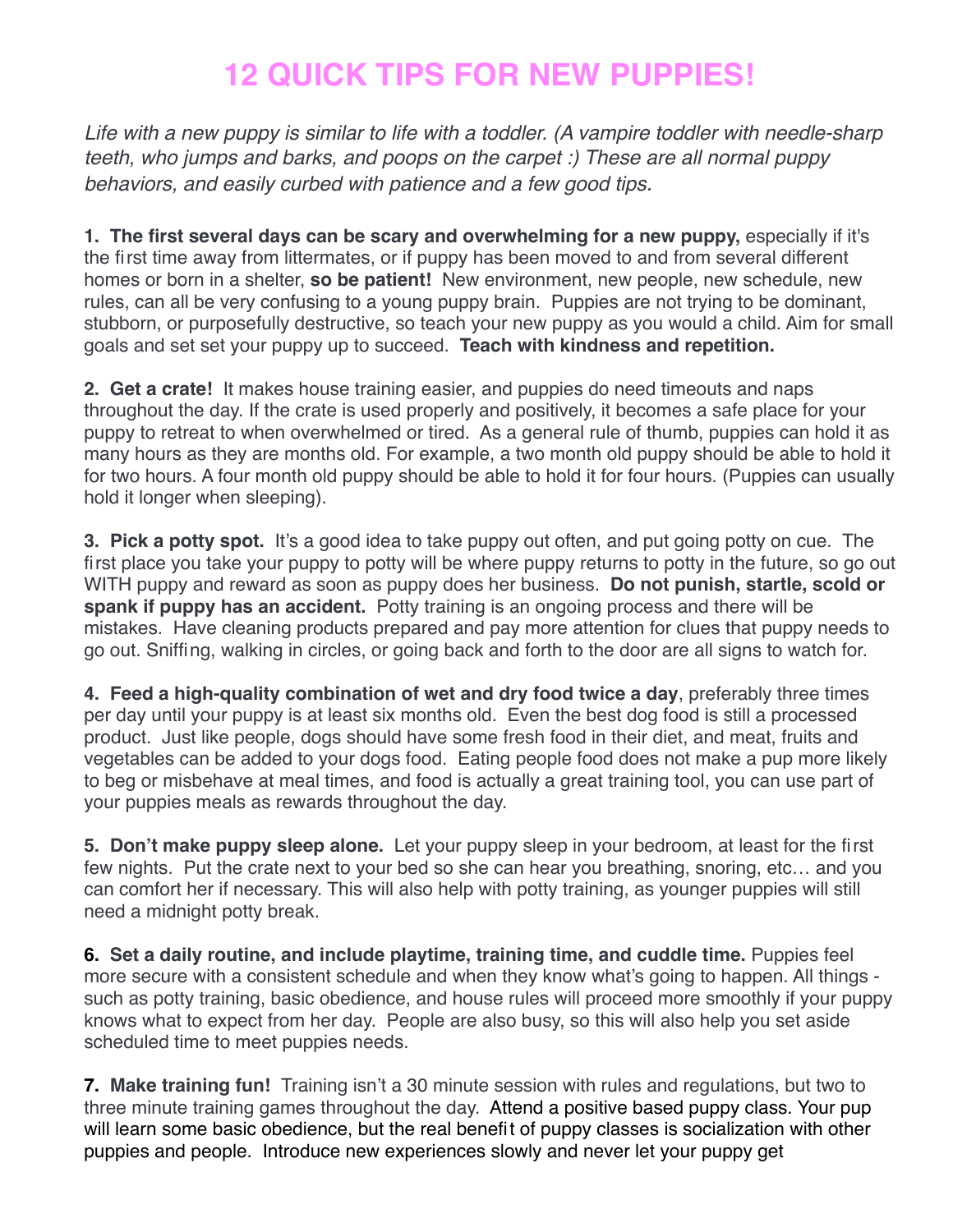## **12 QUICK TIPS FOR NEW PUPPIES!**

*Life with a new puppy is similar to life with a toddler. (A vampire toddler with needle-sharp teeth, who jumps and barks, and poops on the carpet :) These are all normal puppy behaviors, and easily curbed with patience and a few good tips.*

**1. The first several days can be scary and overwhelming for a new puppy,** especially if it's the first time away from littermates, or if puppy has been moved to and from several different homes or born in a shelter, **so be patient!** New environment, new people, new schedule, new rules, can all be very confusing to a young puppy brain. Puppies are not trying to be dominant, stubborn, or purposefully destructive, so teach your new puppy as you would a child. Aim for small goals and set set your puppy up to succeed. **Teach with kindness and repetition.**

**2. Get a crate!** It makes house training easier, and puppies do need timeouts and naps throughout the day. If the crate is used properly and positively, it becomes a safe place for your puppy to retreat to when overwhelmed or tired. As a general rule of thumb, puppies can hold it as many hours as they are months old. For example, a two month old puppy should be able to hold it for two hours. A four month old puppy should be able to hold it for four hours. (Puppies can usually hold it longer when sleeping).

**3. Pick a potty spot.** It's a good idea to take puppy out often, and put going potty on cue. The first place you take your puppy to potty will be where puppy returns to potty in the future, so go out WITH puppy and reward as soon as puppy does her business. **Do not punish, startle, scold or spank if puppy has an accident.** Potty training is an ongoing process and there will be mistakes. Have cleaning products prepared and pay more attention for clues that puppy needs to go out. Sniffing, walking in circles, or going back and forth to the door are all signs to watch for.

**4. Feed a high-quality combination of wet and dry food twice a day**, preferably three times per day until your puppy is at least six months old. Even the best dog food is still a processed product. Just like people, dogs should have some fresh food in their diet, and meat, fruits and vegetables can be added to your dogs food. Eating people food does not make a pup more likely to beg or misbehave at meal times, and food is actually a great training tool, you can use part of your puppies meals as rewards throughout the day.

**5. Don't make puppy sleep alone.** Let your puppy sleep in your bedroom, at least for the first few nights. Put the crate next to your bed so she can hear you breathing, snoring, etc… and you can comfort her if necessary. This will also help with potty training, as younger puppies will still need a midnight potty break.

**6. Set a daily routine, and include playtime, training time, and cuddle time.** Puppies feel more secure with a consistent schedule and when they know what's going to happen. All things such as potty training, basic obedience, and house rules will proceed more smoothly if your puppy knows what to expect from her day. People are also busy, so this will also help you set aside scheduled time to meet puppies needs.

**7. Make training fun!** Training isn't a 30 minute session with rules and regulations, but two to three minute training games throughout the day. Attend a positive based puppy class. Your pup will learn some basic obedience, but the real benefit of puppy classes is socialization with other puppies and people. Introduce new experiences slowly and never let your puppy get